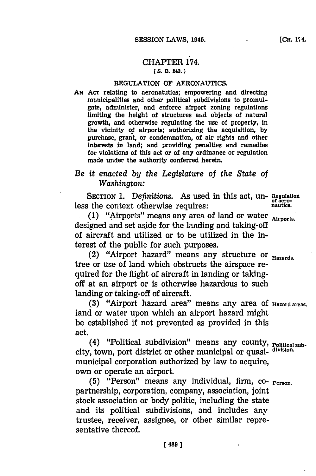## CHAPTER 174. **E S. B. 243.]1**

## **REGULATION OF AERONAUTICS.**

**AN ACT** relating to aeronatutics; empowering and directing municipaities and other political subdivisions to promulgate, administer, and enforce airport zoning regulations limiting the height of structures and objects of natural growth, and otherwise regulating the use of property, in the vicinity of airports; authorizing the acquisition, **by** purchase, grant, or condemnation, of air rights and other interests In land; and providing penalties and remedies for violations of this act or of any ordinance or regulation made under the authority conferred herein.

# *Be it enacted by the Legislature of the State of Washington:*

**SECTION 1.** *Definitions.* As used in this act, un- **Regulation** less the context otherwise requires: **nationally** nautics.

**S(1)** "Airporls" means any area of land or water **Airports.** designed and set aside for the landing and taking-off of aircraft and utilized or to be utilized in the interest of the public for such purposes.

(2) "Airport hazard" means any structure or **Hazards.** tree or use of land which obstructs the airspace required for the flight of aircraft in landing or takingoff at an airport or is otherwise hazardous to such landing or taking-off of aircraft.

**(3)** "Airport hazard area" means any area **Of Hazard areas.** land or water upon which an airport hazard might be established if not prevented as provided in this act.

(4) "Political subdivision" means any county, **Political sub**city, town, port district or other municipal or quasi- division. municipal corporation authorized **by** law to acquire, own or operate an airport.

**(5)** "Person" means any individual, firm, **CO- Person.** partnership, corporation, company, association, joint stock association or body politic, including the state and its political subdivisions, and includes any trustee, receiver, assignee, or other similar representative thereof.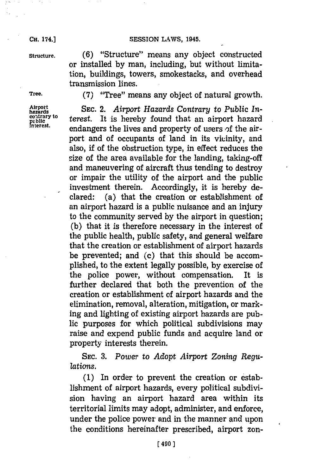### SESSION LAWS, 1945.

**CH.** 174.]

**Structure. (6)** "Structure" means any object constructed or installed **by** man, including, but without limitation, buildings, towers, smokestacks, and overhead transmission lines.

**Airport**<br>hazards<br>contrary to

**Tree. (7)** "Tree" means any object of natural growth.

SEC. 2. Airport Hazards Contrary to Public In-**Figure 1975**<br>**FULL** considerate the state of the constant interest.<br>Interest. **Full constant in the state of the constant of the constant of the constant of the constant of the constant of the constant of the constant of** endangers the lives and property of users of the airport and of occupants of land in its vicinity, and also, if of the obstruction type, in effect reduces the size of the area available for the landing, taking-off and maneuvering of aircraft thus tending to destroy or impair the utility of the airport and the public investment therein. Accordingly, it is hereby declared: (a) that the creation or establishment of an airport hazard is a public nuisance and an injury to the community served **by** the airport in question; **(b)** that it is therefore necessary in the interest of the public health, public safety, and general welfare that the creation or establishment of airport hazards be prevented; and **(c)** that this should be accomplished, to the extent legally possible, **by** exercise of the police power, without compensation. It is further declared that both the prevention of the creation or establishment of airport hazards and the elimination, removal, alteration, mitigation, or marking and lighting of existing airport hazards are public purposes for which political subdivisions may raise and expend public funds and acquire land or property interests therein.

> **SEC. 3.** *Power to Adopt Airport Zoning Regulations.*

> **(1)** In order to prevent the creation or establishment of airport hazards, every political subdivision having an airport hazard area within its territorial limits may adopt, administer, and enforce, under the police power and in the manner and upon the conditions hereinafter prescribed, airport zon-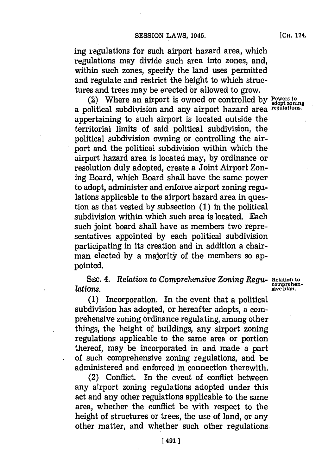ing regulations for such airport hazard area, which regulations may divide such area into zones, and, within such zones, specify the land uses permitted and regulate and restrict the height to which structures and trees may be erected or allowed to grow.

(2) Where an airport is owned or controlled **by Powers to** a political subdivision and any airport hazard area regulations. appertaining to such airport is located outside the territorial limits of said political subdivision, the political subdivision owning or controlling the airport and the political subdivision within which the airport hazard area is located may, **by** ordinance or resolution duly adopted, create a Joint Airport Zoning Board, which Board shall have the same power to adopt, administer and enforce airport zoning regulations applicable to the airport hazard area in question as that vested **by** subsection **(1)** in the political subdivision within which such area is located. Each such joint board shall have as members two representatives appointed **by** each political subdivision participating in its creation and in addition a chairman elected **by** a majority of the members so appointed.

SEc. *4. Relation* to *Comprehensive Zoning Regu-* **elation to comprehen- lations. comprehentations.** *comprehen- comprehen- comprehen- comprehen- comprehen- comprehen- comprehen- comprehen- comprehen- comprehen-*

**(1)** Incorporation. In the event that a political subdivision has adopted, or hereafter adopts, a comprehensive zoning ordinance regulating, among other things, the height of buildings, any airport zoning regulations applicable to the same area or portion .hereof, may be incorporated in and made a part of such comprehensive zoning regulations, and be administered and enforced in connection therewith.

(2) Conflict. In the event of conflict between any airport zoning regulations adopted under this act and any other regulations applicable to the same area, whether the conflict be with respect to the height of structures or trees, the use of land, or any other matter, and whether such other regulations, **[CH.** 174.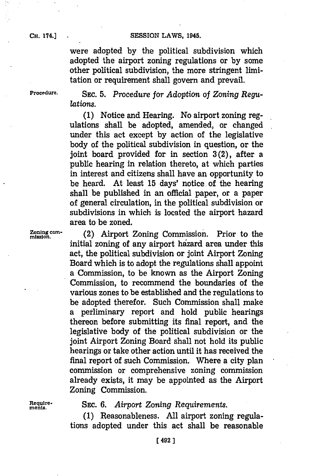### **CH.** 174.]

**CH. 74.]SESSION LAWS, 1945.**

were adopted **by** the political subdivision which adopted the airport zoning regulations or **by** some other political subdivision, the more stringent limitation or requirement shall govern and prevail.

**Procedure. SEC. 5.** *Procedure for Adoption of Zoning Regulations.*

> **(1)** Notice and Hearing. No airport zoning regulations shall be adopted, amended, or changed under this act except **by** action of the legislative body of the political subdivision in question, or the joint board provided for in section  $3(2)$ , after a public hearing in relation thereto, at which parties in interest and citizens shall have an opportunity to be heard. At least **15** days' notice. of the hearing shall be published in an official paper, or a paper of general circulation, in the political subdivision or subdivisions in which is located the airport hazard area to be zoned.

**Zoning com-** (2) Airport Zoning Commission. Prior to the mission. initial zoning of any airport hazard area under this act, the political subdivision or joint Airport Zoning Board which is to adopt the regulations shall appoint a Commission, to be known as the Airport Zoning Commission, to recommend the boundaries of the various zones to be established and the regulations to be adopted therefor. Such Commission shall make a perliminary report and hold public hearings thereon before submitting its final report, and the legislative body of the political subdivision or the joint Airport Zoning Board shall not hold its public hearings or take other action until it has received the final report of such Commission. Where a city plan commission or comprehensive zoning commission already exists, it may be appointed as the Airport Zoning Commission.

**Reqre** SEc. **6.** *Airport Zoning Requirements.*

**(1)** Reasonableness. **All** airport zoning regulations adopted under this act shall be reasonable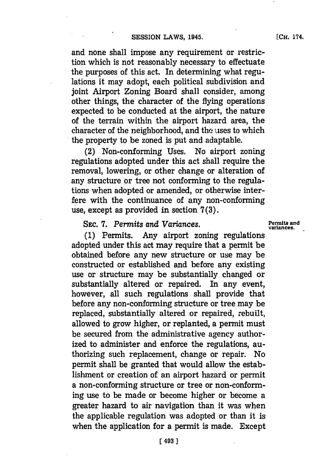and none shall impose any requirement or restriction which is not reasonably necessary to effectuate the purposes of this act. In determining what regulations it may adopt, each political subdivision and joint Airport Zoning Board shall consider, among other things, the character of the flying operations expected to be conducted at the airport, the nature of the terrain within the airport hazard area, the character of the neighborhood, and the uses to which the property to be zoned is put and adaptable.

(2) Non-conforming Uses. No airport zoning regulations adopted under this act shall require the removal, lowering, or other change or alteration of any structure or tree not conforming to the regulations when adopted or amended, or otherwise interfere with the continuance of any non-conforming use, except as provided in section **7(3).**

# SEC. 7. Permits and Variances. **Permits and Variances**, **Permits and**

**(1)** Permits. Any airport zoning regulations adopted under this act may require that a permit be obtained before any new structure or use may be constructed or established and before any existing use or structure may be substantially changed or substantially altered or repaired. In any event, however, all such regulations shall provide that before any non-conforming structure or tree may be replaced, substantially altered or repaired, rebuilt, allowed to grow higher, or replanted, a permit must be secured from the administrative agency authorized to administer and enforce the regulations, authorizing such replacement, change or repair. No permit shall be granted that would allow the establishment or creation of an airport hazard or permit a non-conforming structure or tree or non-conforming use to be made or become higher or become a greater hazard to air navigation than it was when the applicable regulation was adopted or than it is when the application for a permit is made. Except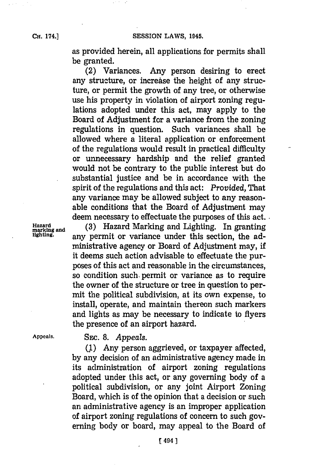**CH.** 174.]

as provided herein, all applications for permits shall be granted.

(2) Variances. Any person desiring to erect any structure, or increase the height of any structure, or permit the growth of any tree, or otherwise use his property in violation of airport zoning regulations adopted under this act, may apply to the Board of Adjustment for a variance from the zoning regulations in question. Such variances shall be allowed where a literal application or enforcement of the regulations would result in practical difficulty or unnecessary hardship and the relief granted would not be contrary to the public interest but do substantial justice and be in accordance with the spirit of the regulations and this act: *Provided,* That any variance may be allowed subject to any reasonable conditions that the Board of Adjustment may deem necessary to effectuate the purposes of this act.

Hazard marking and (3) Hazard Marking and Lighting. In granting lighting. **any permit or variance under this section**, the administrative agency or Board of Adjustment may, if it deems such action advisable to effectuate the purposes of this act and reasonable in the circumstances, so condition such permit or variance as to require the owner of the structure or tree in question to permit the political subdivision, at its own expense, to install, operate, and maintain thereon such markers and lights as may be necessary to indicate to flyers the presence of an airport hazard.

**Appeals.** SEc. **8.** *Appeals.*

**(1)** Any person aggrieved, or taxpayer affected, **by** any decision of an administrative agency made in its administration of airport zoning regulations adopted under this act, or any governing body of a political subdivision, or any joint Airport Zoning Board, which is of the opinion that a decision or such an administrative agency is an improper application of airport zoning regulations of concern to such governing body or board, may appeal to the Board of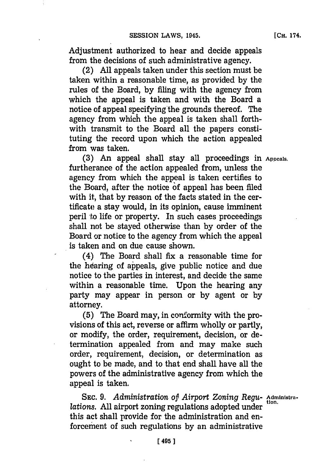Adjustment authorized to hear and decide appeals from the decisions of such administrative agency.

(2) **All** appeals taken under this section must be taken within a reasonable time, as provided **by** the rules of the Board, **by** filing with the agency from which the appeal is taken and with the Board a notice of appeal specifying the grounds thereof. The agency from which the appeal is taken shall forthwith transmit to the Board all the papers constituting the record upon which the action appealed from was taken.

**(3)** An appeal shall stay all proceedings in **Appeals.** furtherance of the action appealed from, unless the agency from which the appeal is taken certifies to the Board, after the notice **of** appeal has been filed with it, that **by** reason of the facts stated in the certificate a stay would, in its opinion, cause imminent peril to life or property. In such cases proceedings shall not be stayed otherwise than **by** order of the Board or notice to the agency from which the appeal is taken and on due cause shown.

(4) The Board shall fix a reasonable time for the hearing of appeals, give public notice and due notice to the parties in interest, and decide the same within a reasonable time. Upon the hearing any party may appear in person or **by** agent or **by** attorney.

**(5)** The Board may, in conformity with the provisions of this act, reverse or affirm wholly or partly, or modify, the order, requirement, decision, or determination appealed from and may make such order, requirement, decision, or determination as ought to be made, and to that end shall have all the powers of the administrative agency from which the appeal is taken.

SEC. 9. *Administration of Airport Zoning Regu-* Administra*lations.* All airport zoning regulations adopted under this act shall provide for the administration and enforcement of such regulations **by** an administrative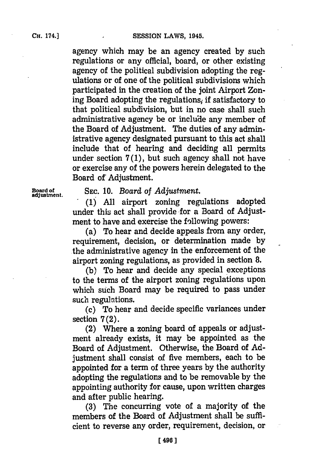agency which may be an agency created **by** such regulations or any official, board, or other existing agency of the political subdivision adopting the regulations or of one of the political subdivisions which participated in the creation of the joint Airport Zoning Board adopting the regulations, if satisfactory to that political subdivision, but in no case shall such administrative agency be or include any member of the Board of Adjustment. The duties of any administrative agency designated pursuant to this act shall include that of hearing and deciding all permits under section **7(l),** but such agency shall not have or exercise any of the powers herein delegated to the Board of' Adjustment.

**Board of SEc. 10.** *Board of Adjustment.* **adjustment. .(1) All** airport zoning regulations adopted under this act shall provide for a Board of Adjustment to have and exercise the following powers:

> (a) To hear and decide appeals from any order, requirement, decision, or determination made **by** the administrative agency in the enforcement of the airport zoning regulations, as provided in section **8.**

> **(b)** To hear and decide any special exceptions to the terms of the airport zoning regulations upon which such Board may be required to pass under such regulations.

> (c) To hear and decide specific variances under section **7** (2).

> (2) Where a zoning board of appeals or adjustment already exists, it may be appointed as the Board of Adjustment. Otherwise, the Board of **Ad**justment shall consist of five members, each to be appointed for a term of three years **by** the authority adopting the regulations and to be removable **by** the appointing authority for cause, upon written charges and after public hearing.

> **(3)** The concurring vote of a majority of the members of the Board of Adjustment shall be sufficient to reverse any order, requirement, decision, or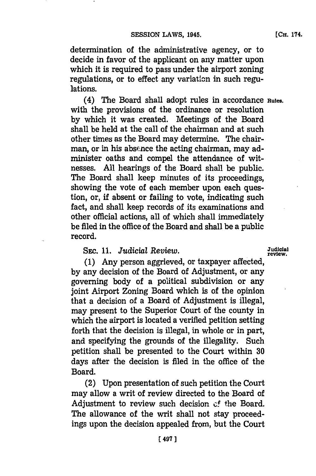**[CH.** 174.

determination of the administrative agency, or to decide in favor of the applicant on any matter upon which it is required to pass under the airport zoning regulations, or to effect any variation in such regulations.

(4) The Board shall adopt rules in accordance **Rules.** with the provisions of the ordinance or resolution **by** which it was created. Meetings of the Board shall be held at the call of the chairman and at such other times as the Board may determine. The chairman, or in his absence the acting chairman, may administer oaths and compel the attendance of witnesses. **All** hearings of the Board shall be public. The Board shall keep minutes of its proceedings, showing the vote of each member upon each question, or, if absent or failing to vote, indicating such fact, and shall keep records of its examinations and other official actions, all of which shall immediately be filed in the office of the Board and shall be a public record.

## SEC. 11. *Judicial Review.* Judicial

**(1)** Any person aggrieved, or taxpayer affected, **by** any decision of the Board of Adjustment, or any governing body of a political subdivision or any joint Airport Zoning Board which is of the opinion that a decision of a Board of Adjustment is illegal, may present to the Superior Court of the county in which the airport is located a verified petition setting forth that the decision is illegal, in whole or in part, and specifying the grounds of the illegality. Such petition shall be presented to the Court within **30** days after the decision is filed in the office of the Board.

(2) Upon presentation of such petition the Court may allow a writ of review directed to the Board of Adjustment to review such decision of the Board. The allowance of the writ shall not stay proceedings upon the decision appealed from, but the Court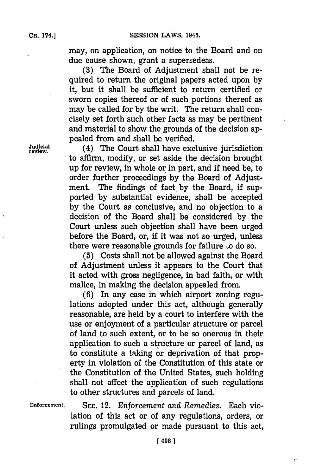may, on application, on notice to the Board and on due cause shown, grant a supersedeas.

**(3)** The Board of Adjustment shall not be required to return the original papers acted upon **by** it, but it shall be sufficient to return certified or sworn copies thereof or of such portions thereof as may be called for **by** the writ. The return shall concisely set forth such other facts as may be pertinent and material to show the grounds of the decision appealed from and shall be verified.

**rudieia.** (4) The Court shall have exclusive jurisdiction to affirm, modify, or set aside the decision brought up for review, in whole or in part, and if need be, to order further proceedings by the Board of Adjustment. The findings of fact. **by** the Board, if supported **by** substantial evidence, shall be accepted **by** the Court as conclusive, and no objection to a decision of the Board shall be considered **by** the Court unless such objection shall have been urged before the Board, or, if it was not so urged, unless there were reasonable grounds for failure  $\omega$  do so.

> **(5)** Costs shall not be allowed against the Board of Adjustment unless it appears to the Court that it acted with gross negligence, in bad faith, or with malice, in making the decision appealed from.

> **(6)** In any case in which airport zoning regulations adopted under this act, although generally reasonable, are held **by** a court to interfere with the use or enjoyment of a particular structure or parcel of land to such extent, or to be so onerous in their application to such a structure or parcel of land, as to constitute a taking or deprivation of that property in violation oi the Constitution of this state or the Constitution of the United States, such holding shall not affect the application of such regulations to other structures and parcels of land.

**Enforcement. SEC.** 12. *Enforcement and Remedies.* Each violation of this act or of any regulations, orders, or rulings promulgated or made pursuant to this act,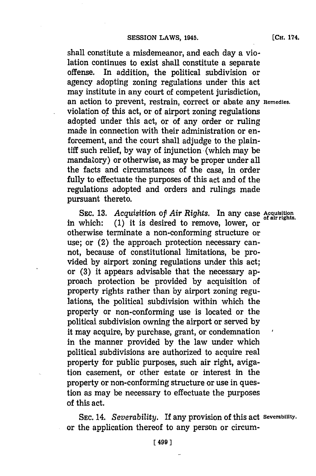shall constitute a misdemeanor, and each day a violation continues to exist shall constitute a separate offense. In addition, the political subdivision or agency adopting zoning regulations under this act may institute in any court of competent jurisdiction, an action to prevent, restrain, correct or abate any **Remedies.** violation of this act, or of airport zoning regulations adopted under this act, or of any order or ruling made in connection with their administration or enforcement, and the court shall adjudge to the plaintiff such relief, by way of injunction (which may be mandatory) or otherwise, as may be proper under all the facts and circumstances of the case, in order fully to effectuate the purposes of this act and of the regulations adopted and orders and rulings made pursuant thereto.

SEC. 13. *Acquisition of Air Rights.* In any case *Acquisition* of air rights. in which: (1) it is desired to remove, lower, or otherwise terminate a non-conforming structure or use; or (2) the approach protection necessary cannot, because of constitutional limitations, be provided **by** airport zoning regulations under this act; or **(3)** it appears advisable that the necessary approach protection be provided **by** acquisition of property rights rather than **by** airport zoning regulations, the political subdivision within which the property or non-conforming use is located or the political subdivision owning the airport or served **by** it may acquire, **by** purchase, grant, or condemnation in the manner provided **by** the law under which political subdivisions are authorized to acquire real property for public purposes, such air right, avigation casement, or other estate or interest in the property or non-conforming structure or use in question as may be necessary to effectuate the purposes of this act.

**SEC.** 14. *Severability.* If any provision of this act **Severability.** or the application thereof to any person or circum